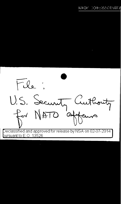

 $\overline{D}$ eclassified and approved for release by NSA on 02-07-2014 bursuant to E.O. 13526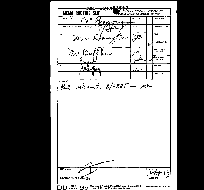REE ID: A53587 **R USE FOR APPROVALS DISAPPROVALS MEMO ROUTING SLIP** UNCURRENCES OR SIMILAR ACTIONS  $\bar{P}_{\vec{\delta}}$ 1 NAME OR TITLE **INITIALS CIRCULATE** ORGANIZATION AND LOCATION DATE COORDINATION  $\bf{2}$ **FILE SKR**  $\mathscr{A}$ **INFORMATION NECESSARY**  $\mathbf{3}$ ∽ **NOTE AND RETURN** w  $\overline{\mathbf{A}}$ SEE ME میر ر **SIGNATURE REMARKS** Rich-return to S/ASST - All **FROM NAME OR TITLE** DATE ORGANIZATION AND LOCATION **TELEPHON** DD : FORM 9 95 Form 12, 10 Nov 47 which may be used. o0-16-48487-4 aPO ☆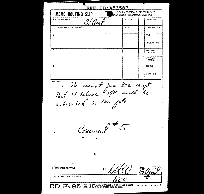| <b>MEMO ROUTING SLIP</b>                                                                  | USE FOR APPROVALS DISAPPROVALS.<br>CURRENCES OR SIMILAR ACTIONS |                            |
|-------------------------------------------------------------------------------------------|-----------------------------------------------------------------|----------------------------|
| 1 NAME OR TITLE<br>5/Aost                                                                 | <b>INITIALS</b>                                                 | <b>CIRCULATE</b>           |
| ORGANIZATION AND LOCATION                                                                 | <b>DATE</b>                                                     | COORDINATION               |
| $\mathbf{z}$                                                                              |                                                                 | FILE                       |
|                                                                                           |                                                                 | <b>INFORMATION</b>         |
| з                                                                                         |                                                                 | NECESSARY<br><b>ACTION</b> |
|                                                                                           |                                                                 | NOTE AND<br>RETURN         |
| 4                                                                                         |                                                                 | SEE ME                     |
|                                                                                           |                                                                 | <b>SIGNATURE</b>           |
| mens , No comment pour SEC irrent<br>Mat I helieve P/P would be<br>notinested in Nie file |                                                                 |                            |
|                                                                                           |                                                                 |                            |
|                                                                                           |                                                                 |                            |
| Communt #                                                                                 |                                                                 |                            |
| ь                                                                                         |                                                                 |                            |
|                                                                                           |                                                                 |                            |
| <b>FROM NAME OR TITLE</b><br>s l                                                          |                                                                 | <b>DATE</b>                |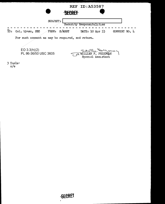| <b>REF ID: A53587</b><br><b>SECRET</b>                                        |
|-------------------------------------------------------------------------------|
| SUBJECT:<br>Security Responsibilities                                         |
| S/ASST<br>TO:<br>FROM:<br>DATE: 10 Apr 53<br>COMMENT NO. 4<br>Col. Uyman, SEC |
| For such comment as may be required, and return.                              |
| EO $3.3(h)(2)$<br>Edutte Serveux<br>PL 86-36/50 USC 3605<br>Special Assistant |
| $3$ Incls $\cdot$                                                             |

n/e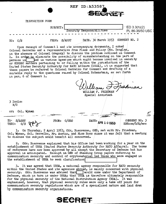|                                      | <b>REF ID: A53587</b>                                                                                                                                                                                                                                                                                                                                                                                                                                                                                                                                                                                                                                                                                                                                               |  |
|--------------------------------------|---------------------------------------------------------------------------------------------------------------------------------------------------------------------------------------------------------------------------------------------------------------------------------------------------------------------------------------------------------------------------------------------------------------------------------------------------------------------------------------------------------------------------------------------------------------------------------------------------------------------------------------------------------------------------------------------------------------------------------------------------------------------|--|
|                                      |                                                                                                                                                                                                                                                                                                                                                                                                                                                                                                                                                                                                                                                                                                                                                                     |  |
| DISPOSITION FORM                     |                                                                                                                                                                                                                                                                                                                                                                                                                                                                                                                                                                                                                                                                                                                                                                     |  |
|                                      | EO 3.3(h)(2)<br>SUBJECT:<br>Security Responsibilities<br>PL 86-36/50 USC:                                                                                                                                                                                                                                                                                                                                                                                                                                                                                                                                                                                                                                                                                           |  |
| TO: C/S                              | DATE. 30 March 1953 COMMENT NO. 2<br>FROM: S/ASST                                                                                                                                                                                                                                                                                                                                                                                                                                                                                                                                                                                                                                                                                                                   |  |
| in par. 6 of Comment 1.              | Upon receipt of Comment 1 and its accompanying documents, I asked<br>Colonel Herrelko and a representative from Plans and Policy (Mr. Douglas,<br>in the absence of Colonel Gregory) to discuss the problem outlined in Comment<br>1. In order to eliminate the possibility of misunderstanding on the part of<br>persons in had in various agencies which might become involved in security<br>or COMSEC matters pertaining to or falling within the jurisdiction of the<br>United States Security Authority for NATO Affairs (USSA), it is suggested that<br>these papers be referred to Colonel Herrelko for Comment and drafting of a<br>surtable reply to the questions raised by Colonel Rutenstein, as set forth<br>WILLIAM F. FRIEDMAN<br>Special Assistant |  |
| 3 Incls:<br>N/C                      |                                                                                                                                                                                                                                                                                                                                                                                                                                                                                                                                                                                                                                                                                                                                                                     |  |
| cc: Col. Wyman                       |                                                                                                                                                                                                                                                                                                                                                                                                                                                                                                                                                                                                                                                                                                                                                                     |  |
| S/ASST<br>TO.<br><b>THRU:</b><br>C/S | FROM:<br>C/SEC<br>COMMENT NO. 3<br>DATE:<br>APR 1 0 1953<br>KMRoss/404/mec<br>1. On Thursday, 2 April 1053, Cdr. Bionyanue, OSD, met with Mr. Friedman.                                                                                                                                                                                                                                                                                                                                                                                                                                                                                                                                                                                                             |  |

me وللآل و Blenvenue وCdr و April 1953 و зу, Col. Wyman, Col. Herrelko, Mr. Austin, and Miss Ross since it was felt that a meeting to discuss the subject would benefit all concerned.

2. Cdr. Bienvenue explained that his Office had been working for a year on the establishment of USSA (United States Security Authority for NATO Affairs). The terms of reference have now been approved by all except the Secretary of Defense but his approval is anticipated. Receipt in OSD of Standing Group papers referring to communication security and control of cryptomaterial led those who were engaged in the establishment of USSA to seek clarification

3. It was agreed that USSA, a national agency responsible for NATO security within the United States and its agencies abroad, is mainly concerned with physical security. Cdr. Bienvenue was advised that would come under the Department of Defense, which in turn is under USSA; that USSA is therefore ultimately responsible for the physical security of the National Distribution Agency (NDA). It was emphasized, however, that physical security rules were only a take off point for communication security regulations which are of a specialized nature and laid down by communication security organizations.

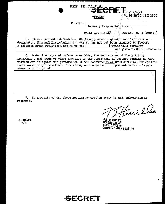|                                                                                                                                                                                                                                                                                                                                                | REF ID: A53587            | $ETE: E_{0.3.3(h)(2)}$                              |
|------------------------------------------------------------------------------------------------------------------------------------------------------------------------------------------------------------------------------------------------------------------------------------------------------------------------------------------------|---------------------------|-----------------------------------------------------|
|                                                                                                                                                                                                                                                                                                                                                | SEGREA                    | PL 86-36/50 USC 3605                                |
| SUBJECT .                                                                                                                                                                                                                                                                                                                                      | Security Responsibilities |                                                     |
|                                                                                                                                                                                                                                                                                                                                                | DATE: APR 1 0 1953        | COMMENT NO. $3$ (Contd.)                            |
| 4. It was pointed out that the SGM 303-53, which requests each NATO nation to<br>designate a National Distribution Authority, has not yet been answered by SecDef.<br>A proposed draft reply from SecDef to the                                                                                                                                |                           | which will formally<br>was given to Cdr. Bienvenue. |
| $5.5$ Under the terms of reference of USSA, the Secretaries of the Military<br>Departments and heads of other agencies of the Department of Defense dealing in NATO<br>matters are delegated the performance of the maintenance of NATO security, etc. within<br>their areas of jurisdiction. Therefore, no change in<br>ation is anticipated. |                           | present method of oper-                             |
|                                                                                                                                                                                                                                                                                                                                                |                           |                                                     |

7. As a result of the above meeting no written reply to Col. Rubenstein is required.

Ferrelko

 $\overline{\phantom{a}}$ 

HERREL KO OHEL,USAF lfF, Off ICE OF COMMUN CATrON SECURITY

3 Incls: n/c

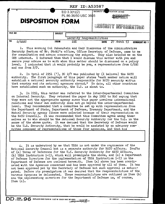| <b>REF ID: A53587</b>   |                |                                        |                                                    |  |  |
|-------------------------|----------------|----------------------------------------|----------------------------------------------------|--|--|
| <b>DISPOSITION FORM</b> |                | EO $3.3(h)(2)$<br>PL 86-36/50 USC 3605 | SECURITY C<br>FICATION (If any)<br><b>SEORET</b>   |  |  |
|                         |                |                                        | SEGURITY INFORMATION                               |  |  |
| <b>FILE NO</b>          | <b>SUBJECT</b> | $\texttt{security}$                    | Responsibilities                                   |  |  |
| TO<br>S/ASST            | <b>FROM</b>    | <b>SEC</b>                             | 27<br>March 53<br><b>DATE</b><br><b>COMMENT NO</b> |  |  |

1. This morning Col Rubenstein and Cmdr Bienvenue of the Administrative Security Section of Mr. Stohl's office, Office Secretary of Defense, came to me for consultation and advice concerning the subject. They also briefed me on the OSD interest. I informed them that I would discuss this matter with you and secure your advice as to with whom this matter should be discussed on a policy level. I indicated that it would probably be you, a representative from  $C/SEC$ and one from P/P.

2. In April of 1951 (?), DC 2/7 was published by (I believe) the NATO authority. The first paragraph of this paper states "each.member nation will establish a national security authority responsible for NATO security within that country and its national agencies abroad." To date, all other countries have established such an authority, the U.S. is about to.

3. In 1951, this matter was referred to the Inter-Departmental Committee on Internal Security. They returned the paper in May 1952 to NSC saying that they were not the appropriate agency since this paper involves international relations and their own authority does not go beyond the inter-departmental level. They recommended that a committee be set up with representation from the Department of State, Department of Defense, Treasury Department, and the Mutual Security agency (these were selected because of their representation on the NATO Council). It was recommended that this Committee agree among themselves as to who should be the  $N$ -ional Security Authority for the U.S. in the sense of the above quote. It was declaed that the Secretary of Defense would be the U.S. Security Authority, that he would be assisted by an advisory committee composed of representatives of those four agencies, and that his

4. It is understood by me that USSA is not under the cognizance of the National Security Council but is a separate authority for NATO affairs. Drafts of (a) Terms of Reference for the U.S. Security Authority for NATO Affairs, (b) USSA Instruction 1-53, which will promulgate the above, and (c) a Department of Defense Directive for the implementation of USSA Instruction 1-53 in the repartment of Defense are inclosed herewith. Item {a) above has been coordinated with the Agencies concerned and has been approved by all of them. It has not been approved yet by the Secretary of Defense but such approval is anticipated. Before its promulgation it was desired that the responsibilities of the various Agencies be delineated. These responsibilities are outlined in Item  $(b)$ ana the implementing curective for the Department of Defense is, of course, Item (c).

~~~~~~~~~~~~~~~~~~~~~~~~~~~~~~~~~

 $\searrow$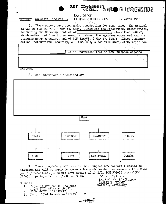|                                                                                                                                                                                                                                                                                                                                                                                                                                              | REF LREARER <sup>8</sup> SEGUOTY INFORMATION  |                    |  |
|----------------------------------------------------------------------------------------------------------------------------------------------------------------------------------------------------------------------------------------------------------------------------------------------------------------------------------------------------------------------------------------------------------------------------------------------|-----------------------------------------------|--------------------|--|
|                                                                                                                                                                                                                                                                                                                                                                                                                                              | $EQ_33(h)(2)$                                 |                    |  |
| SECRET-- SECURITY INFORMATION                                                                                                                                                                                                                                                                                                                                                                                                                | PL 86-36/50 USC 3605 27 March 1953            |                    |  |
| 5. These papers have been under preparation for some time. The arrival<br>in OSD of SGM 303-53, 3 Mar 53, Subj. Plans for the Production, Distribution,<br>Accounting and Security Contiol of<br>which authorized direct communication between the agencies concerned and the<br>standing group agencies, and of SGM 324-53, 6 Mar 53, Subj: Allied Communi-<br>cation Instructions-Security, ACP (122(B)), classified RESTRICTED, which has |                                               | classified SECRET. |  |
|                                                                                                                                                                                                                                                                                                                                                                                                                                              |                                               |                    |  |
|                                                                                                                                                                                                                                                                                                                                                                                                                                              | It is understood that in non-European affairs |                    |  |
|                                                                                                                                                                                                                                                                                                                                                                                                                                              |                                               |                    |  |
|                                                                                                                                                                                                                                                                                                                                                                                                                                              |                                               |                    |  |

matters.

## 6. Col Rubenstein's questions are



7. I was completely off base on this subject but believe I should be informed and will be happy to arrange for such further conference with OSD as you may recommend. I do not have copies of DC 2/7, SGM 303-53 nor of SGM 324-53, perhaps P/P or C/SEC has them.

 $\boldsymbol{2}$ 

*<u> DEGHANET</u>* 

3 Incls

- Terms of Ref for US Sec Auth<br>for NATO Affairs (Dr.ft)<br>USSA Instr 1-53 (Dreft)  $1.$
- $\overline{2}$
- Dept of Def Directive (Praft)  $3.$

nauc stie LESLIE H. WYMAN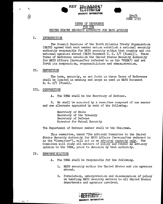



## TERMS OF REFERENCE FOR THE UNITED STATES SECURITY AUTHORITY FOR NATO AFFAIRS

**REF** 

#### I. INTRODUCTION

ż

ハ)

The Council Deputies of the North Atlantic Treaty Organization (MATO) agreed that each member nation establish a national security authority responsible for NATO security within that country and its national agencies abroad (NATO Document D. C. 2/7 (Final)). These Terms of Reference establish the United States Security Authority for NATO Affarrs (hereinafter referred to as the "USSA") and set forth its composition. responsibilities and administration.

#### TT. DEFINITION

The term, security, as set forth in these Terms of Reference shall be limited in meaning and scope as used in NATO Document  $D. C. 2/7 (Final).$ 

#### III. COMPOSITION

The USSA shall be the Secretary of Defense. Λ.

B. He shall be assisted by a committee composed of one member and one alternate appointed by each of the following:

> Secretary of State Secretary of the Treasury Secretary of Defense Director for Mutual Security

The Department of Defense member shall be the Chairman.

This committee, named "The Advisory Committee to the United States Security Authority for NATO Affairs (hereinafter referred to as the "Committee"), will sit in an advisory capacity only. The Committee will study all matters of policy and render an advisory opinion to the USSA, prior to decision by that authority.

#### IV. RESPONSI BILITIES

- $A_{\bullet}$ The USSA shall be responsible for the following.
	- 1. NATO security within the United States and its agencies abroad.
	- 2. Formulation, interpretation and dissemination of policy on handling NATO security matters to all United States departments and agencies involved.

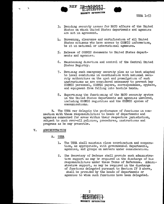





- 3. Deciding security issues for NATO affairs of the United States on which United States departments and agencies are not in agreement.
- 4. Screeming, clearance and certification of all United States citizens who have access to COSMIC information. be it in national or international agencies.
- 5. Release of COSMIC documents to United States departments and agencies.
- 6. Maintaining direction and control of the Central United States Registry.
- 7. Devising such emergency security plan as is best adapted to local conditions in coordination with national security authorities on the spot and promulgation of such instructions as are considered necessary to prevent key COSMIC personnel, COSMIC papers, correspondence, cyphers, and equipment from falling into hostile hands.
- 8. Supervising the functioning of the NATO security system in the United States departments and agencies involved. including COSMIC registries and the COSMIC system of communications.

B. The USSA may delegate the performance of functions in connection with these responsibilities to heads of departments and agencies concerned for areas within their respective jurisdiction, subject to such over-all policies, procedures, instructions and programs as he may prescribe.

#### $\mathbf{v}_{-}$ **ADMINISTRATION**

# A. USSA

- $1.$ The USSA shall maintain close coordination and cooperation, as appropriate, with governmental departments, agencies, and groups on matters under consideration.
- The Secretary of Defense shall provide such administra- $2.$ tive support as may be required in the discharge of his responsibilities under these Terms of Reference. Administrative support, as may be required in the discharge of functions delegated pursuant to Section IV B above. shall be provided by the heads of departments or agencies to whom such functions have been delegated.

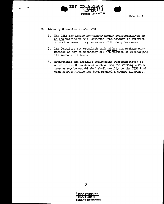



B. Advisory Committee to the USSA

 $\sim$  60

- The USSA may invite non-member agency representatives as  $1.$ ad hoc members to the Committee when matters of interest to such non-member agencies are under consideration.
- The Committee may establish such ad hoc and working com- $2.$ mittees as may be necessary for the purpose of discharging its responsibilities.
- 3. Departments and agencies designating representatives to serve on the Committee or such ad hoc and working committees as may be established shall certify to the USSA that each representative has been granted a COSMIC clearance.



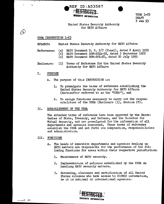**USSA 1-53 DRAFT**  $9$  Jan  $53$ 

# United States Security Authority for NATO Affairs

# USSA INSTRUCTION 1-53

 $\bullet$ 

 $\sqrt{\nu}$ 

United States Security Authority for NATO Affairs **SUBJECT:** 

**REF ID: A53587** 

**SECURITY INFORMATION** 

- (a) NATO Document D. C.  $2/7$  (Final), dated 8 April 1952 References: MATO Document SGM-2044-52, dated 3 September 1952  $(b)$ (c) NATO Document SGM-201-50, dated 20 July 1950
- (1) Terms of Reference for the United States Security  $Enclosure:$ Authority for NATO Affairs

#### I. PURPOSE

- The purpose of this INSTRUCTION is: A.
	- To promulgate the terms of reference establishing the  $\mathbf{L}$ United States Security Authority for NATO Affairs (hereinafter referred to as the "USSA"), and
	- To assign functions necessary to carry out the respon- $2.1$ sibilities of the USSA (Enclosure (1), Section IV).

#### II. ESTABLISHMENT OF THE USSA

The attached terms of reference have been approved by the Secretaries of State, Treasury, and Defense, and the Director for Mutual Security, and are promulgated for the information of all departments and agencies concerned. These terms of reference establish the USSA and set forth its composition, responsibilities and administration.

## III. FUNCTIONS

- The heads of executive departments and agencies dealing in  $A -$ NATO matters are responsible for the performance of the following functions for areas within their respective jurisdiction:
	- 1. Maintenance of NATO security.
	- Implementation of policies established by the USSA on  $2.$ handling NATO security matters.
	- Screening, clearance and certification of all United  $3.$ States citizens who have access to COSMIC information. be it in national or international agencies.

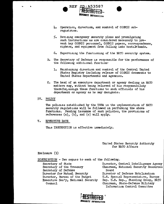

- 4. Operation. direction. and control of COSMIC subregistries.
- 5. Deviang emergency security plans and promulgating such instructions as are considered necessary to prevent key COSMIC personnel, COSMIC papers, correspondence, ciphers, and equipment from falling into hostile hands.
- 6. Supervising the functioning of the NATO security system.
- The Secretary of Defense is responsible for the performance of  $B_{\bullet}$ the following additional function.
	- 1. Maintaining direction and control of the Central United States Registry including release of COSMIC documents to United States departments and agencies.
- C. The head of an executive department or agency dealing in NATO matters may, without being relieved of his responsibility therefor assign these functions to such officials of his department or agency as he may designate.
- IV. POLICY

The policies established by the USSA in the implementation of NATO security regulations will be followed in performing the above functions. Pending issuance of such policies, the provisions of references  $(a)$ ,  $(b)$ , and  $(c)$  will apply.

 $V_{\bullet}$ EFFECTIVE DATE

This INSTRUCTION is effective immediately.

United States Security Authority for NATO Affairs

 $Enclosure(1)$ 

DISTRIBUTION - Two copies to each of the following.

Secretary of State Secretary of the Treasury Secretary of Defense Director for Mutual Security Director, Bureau of the Budget Executive Sec'y, National Security Council

Director, Central Intelligence Agency Chairman, National Security Resources Board Director of Defense Mobilization U.S. Special Representative, Europe Dep. U.S. Rep., Standing Group, NATO Chairman, State-Defense Military Information Control Committee

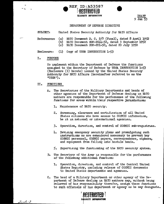# **e** REF ID:A53587 **SECURITY INFORMATION RESTRIBTED A53587<br>MOTH BIGHT**<br>INFORMATION

DRA:Fl' 9 Jan $\,$ 

## DEPARTMENT OF DEFENSE DIRECTIVE

SUBJECT: United States Security Authority for NATO Affairs

References: (a) NATO Document D. C.  $2/7$  (Final), dated 8 April 1952 (b) NATO Document SGM-2044-52, dated 3 September 1952  $(c)$  NATO Document SGM-201-50, dated 20 July 1950

Enclosure: **(1)** Copy of USSA. INSTRUCTION 1-53

## I. PURPOSE

To implement within the Department of Defense the functions assigned to the Secretary of Defense by USSA INSTRUCTION 1-53 (Enclosure (1) hereto) issued by the United States Security Authority for NATO Affairs (hereinafter referred to as the  $"USSA"$ .

## II. FUNCTIONS

- A. The Secretaries of' the Military Departments and heads of other agencies of the Department of Defense dealing in NATO matters are responsible for the performance of the following functions for areas within their respective jurisdiction:
	- 1. Maintenance of NATO security.
	- 2. Screem.ng, clearance and certification of all Umted States citizens who have access to COSMIC infomation, be it in national or international agencies.
	- *3.* Operation., direction, and control of COSMIC sub-registries.
	- 4. Devising emergency security plans and promulgating such instructions as are considered necessary to prevent key COSMIC personnel, COSMIC papers, correspondence, ciphers, and equipment from falling into hostile hands.
	- *5.* Supervismg the functioning of the NATO security system.
- B. The Secretary of the Army is responsible for the performance of the following additional function:
	- 1. Operation, direction, and control of the Central Umited States Registry, including release of COSMIC documents to United States departments and agencies.
- C. The head of a Military Department or other agency of the Department of Defense dealing in NATO matters may, without being relieved of his responsibility therefor, assign these functions to such officials of his department or agency as he may designate.



Znel 3